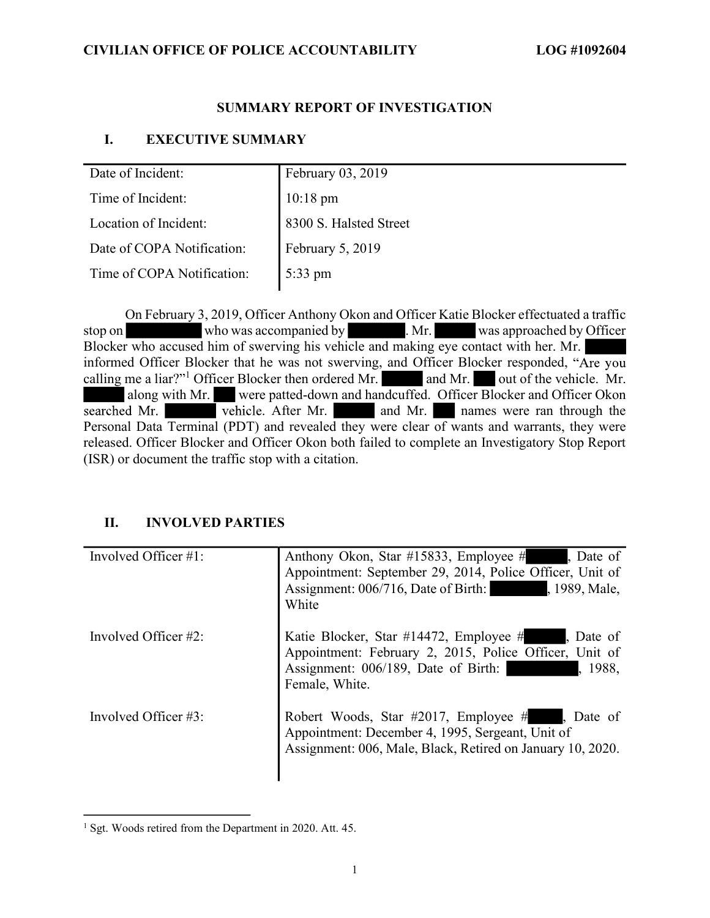#### SUMMARY REPORT OF INVESTIGATION

#### I. EXECUTIVE SUMMARY

| Date of Incident:          | February 03, 2019      |
|----------------------------|------------------------|
| Time of Incident:          | 10:18 pm               |
| Location of Incident:      | 8300 S. Halsted Street |
| Date of COPA Notification: | February 5, 2019       |
| Time of COPA Notification: | 5:33 pm                |

informed Officer Blocker that he was not swerving, and Officer Blocker responded, "Are you calling me a liar?"<sup>1</sup> Officer Blocker then ordered Mr. and Mr. out of the vehicle. Mr. searched Mr. vehicle. After Mr. and Mr. names were ran through the On February 3, 2019, Officer Anthony Okon and Officer Katie Blocker effectuated a traffic stop on who was accompanied by . Mr. was approached by Officer Blocker who accused him of swerving his vehicle and making eye contact with her. Mr. along with Mr. were patted-down and handcuffed. Officer Blocker and Officer Okon Personal Data Terminal (PDT) and revealed they were clear of wants and warrants, they were released. Officer Blocker and Officer Okon both failed to complete an Investigatory Stop Report (ISR) or document the traffic stop with a citation. Time of COPA Notification: 5:33 pm<br>
On February 3, 2019, Officer Anthony Okon and Officer Katie Blocker effectuated a traffic<br>
top on<br>
Moreover who was accompanied by  $\blacksquare$ . Mr. was approached, "Are you<br>
flowed Officer B

## II. INVOLVED PARTIES

| searched Mr.<br>(ISR) or document the traffic stop with a citation.   | Blocker who accused him of swerving his vehicle and making eye contact with her. Mr.<br>informed Officer Blocker that he was not swerving, and Officer Blocker responded, "Are you<br>calling me a liar?" <sup>1</sup> Officer Blocker then ordered Mr. and Mr. out of the vehicle. Mr.<br>along with Mr. Were patted-down and handcuffed. Officer Blocker and Officer Okon<br>vehicle. After Mr. and Mr.<br>names were ran through the<br>Personal Data Terminal (PDT) and revealed they were clear of wants and warrants, they were<br>released. Officer Blocker and Officer Okon both failed to complete an Investigatory Stop Report |  |
|-----------------------------------------------------------------------|------------------------------------------------------------------------------------------------------------------------------------------------------------------------------------------------------------------------------------------------------------------------------------------------------------------------------------------------------------------------------------------------------------------------------------------------------------------------------------------------------------------------------------------------------------------------------------------------------------------------------------------|--|
| II.<br><b>INVOLVED PARTIES</b>                                        |                                                                                                                                                                                                                                                                                                                                                                                                                                                                                                                                                                                                                                          |  |
| Involved Officer #1:                                                  | Anthony Okon, Star #15833, Employee #<br>Date of<br>Appointment: September 29, 2014, Police Officer, Unit of<br>Assignment: 006/716, Date of Birth: 1989, Male,<br>White                                                                                                                                                                                                                                                                                                                                                                                                                                                                 |  |
| Involved Officer #2:                                                  | Katie Blocker, Star #14472, Employee #<br>Date of<br>Appointment: February 2, 2015, Police Officer, Unit of<br>Assignment: 006/189, Date of Birth:<br>1988,<br>Female, White.                                                                                                                                                                                                                                                                                                                                                                                                                                                            |  |
| Involved Officer #3:                                                  | Robert Woods, Star #2017, Employee #, Date of<br>Appointment: December 4, 1995, Sergeant, Unit of<br>Assignment: 006, Male, Black, Retired on January 10, 2020.                                                                                                                                                                                                                                                                                                                                                                                                                                                                          |  |
| <sup>1</sup> Sgt. Woods retired from the Department in 2020. Att. 45. |                                                                                                                                                                                                                                                                                                                                                                                                                                                                                                                                                                                                                                          |  |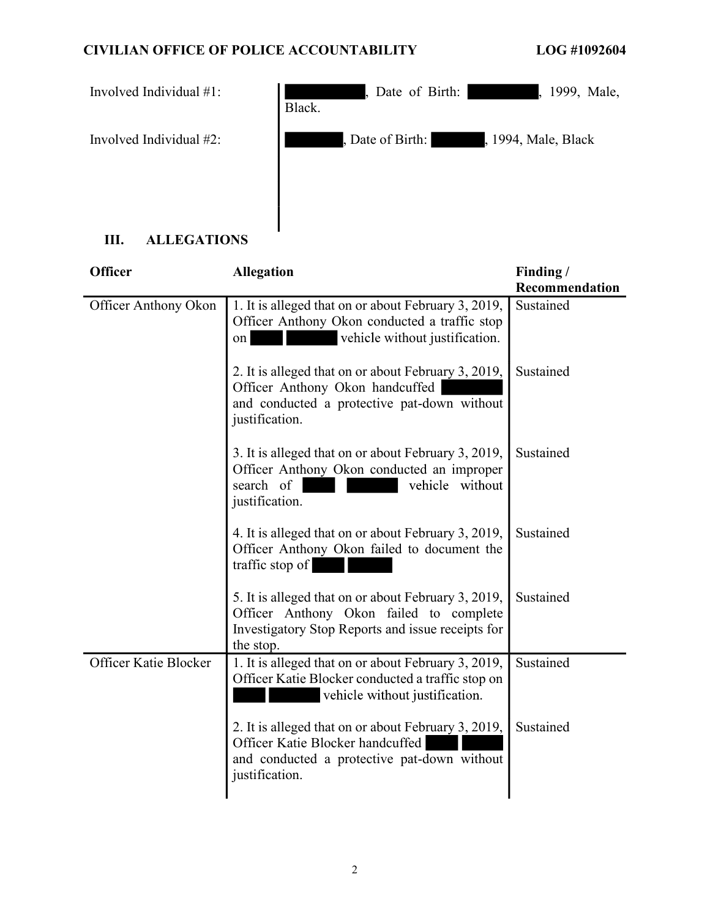| Involved Individual $#1$ : | Date of Birth:<br>, 1999, Male,<br>Black. |
|----------------------------|-------------------------------------------|
| Involved Individual #2:    | , Date of Birth:<br>, 1994, Male, Black   |
|                            |                                           |

# III. ALLEGATIONS

| <b>Officer</b>        | <b>Allegation</b>                                                                                                                                                | Finding/       |
|-----------------------|------------------------------------------------------------------------------------------------------------------------------------------------------------------|----------------|
|                       |                                                                                                                                                                  | Recommendation |
| Officer Anthony Okon  | 1. It is alleged that on or about February 3, 2019,<br>Officer Anthony Okon conducted a traffic stop<br>vehicle without justification.<br>on                     | Sustained      |
|                       | 2. It is alleged that on or about February 3, 2019,<br>Officer Anthony Okon handcuffed<br>and conducted a protective pat-down without<br>justification.          | Sustained      |
|                       | 3. It is alleged that on or about February 3, 2019,<br>Officer Anthony Okon conducted an improper<br>search of<br>vehicle without<br>justification.              | Sustained      |
|                       | 4. It is alleged that on or about February 3, 2019,<br>Officer Anthony Okon failed to document the<br>traffic stop of                                            | Sustained      |
|                       | 5. It is alleged that on or about February 3, 2019,<br>Officer Anthony Okon failed to complete<br>Investigatory Stop Reports and issue receipts for<br>the stop. | Sustained      |
| Officer Katie Blocker | 1. It is alleged that on or about February 3, 2019,<br>Officer Katie Blocker conducted a traffic stop on<br>vehicle without justification.                       | Sustained      |
|                       | 2. It is alleged that on or about February 3, 2019,<br>Officer Katie Blocker handcuffed<br>and conducted a protective pat-down without<br>justification.         | Sustained      |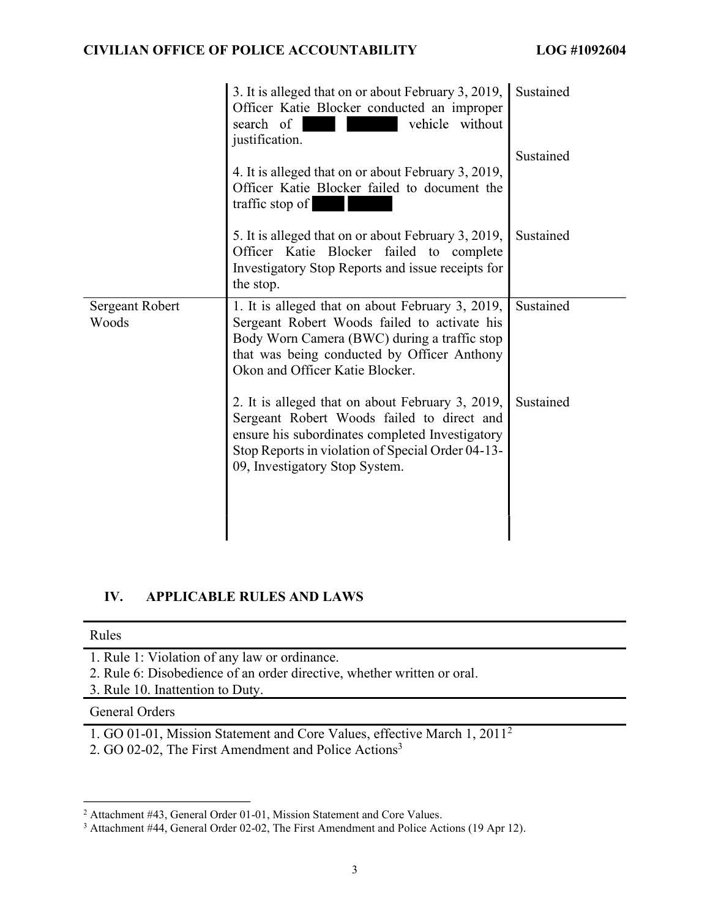|                                 | 3. It is alleged that on or about February 3, 2019,<br>Officer Katie Blocker conducted an improper<br>vehicle without<br>search of<br>justification.<br>4. It is alleged that on or about February 3, 2019,<br>Officer Katie Blocker failed to document the<br>traffic stop of | Sustained<br>Sustained |
|---------------------------------|--------------------------------------------------------------------------------------------------------------------------------------------------------------------------------------------------------------------------------------------------------------------------------|------------------------|
|                                 | 5. It is alleged that on or about February 3, 2019,<br>Officer Katie Blocker failed to complete<br>Investigatory Stop Reports and issue receipts for<br>the stop.                                                                                                              | Sustained              |
| <b>Sergeant Robert</b><br>Woods | 1. It is alleged that on about February 3, 2019,<br>Sergeant Robert Woods failed to activate his<br>Body Worn Camera (BWC) during a traffic stop<br>that was being conducted by Officer Anthony<br>Okon and Officer Katie Blocker.                                             | Sustained              |
|                                 | 2. It is alleged that on about February 3, 2019,<br>Sergeant Robert Woods failed to direct and<br>ensure his subordinates completed Investigatory<br>Stop Reports in violation of Special Order 04-13-<br>09, Investigatory Stop System.                                       | Sustained              |

## IV. APPLICABLE RULES AND LAWS

#### Rules

3. Rule 10. Inattention to Duty.

#### General Orders

1. GO 01-01, Mission Statement and Core Values, effective March 1, 2011<sup>2</sup><br>2. GO 02-02, The First Amendment and Police Actions<sup>3</sup>

<sup>1.</sup> Rule 1: Violation of any law or ordinance.

<sup>2.</sup> Rule 6: Disobedience of an order directive, whether written or oral.

<sup>&</sup>lt;sup>2</sup> Attachment #43, General Order 01-01, Mission Statement and Core Values.

<sup>&</sup>lt;sup>3</sup> Attachment #44, General Order 02-02, The First Amendment and Police Actions (19 Apr 12).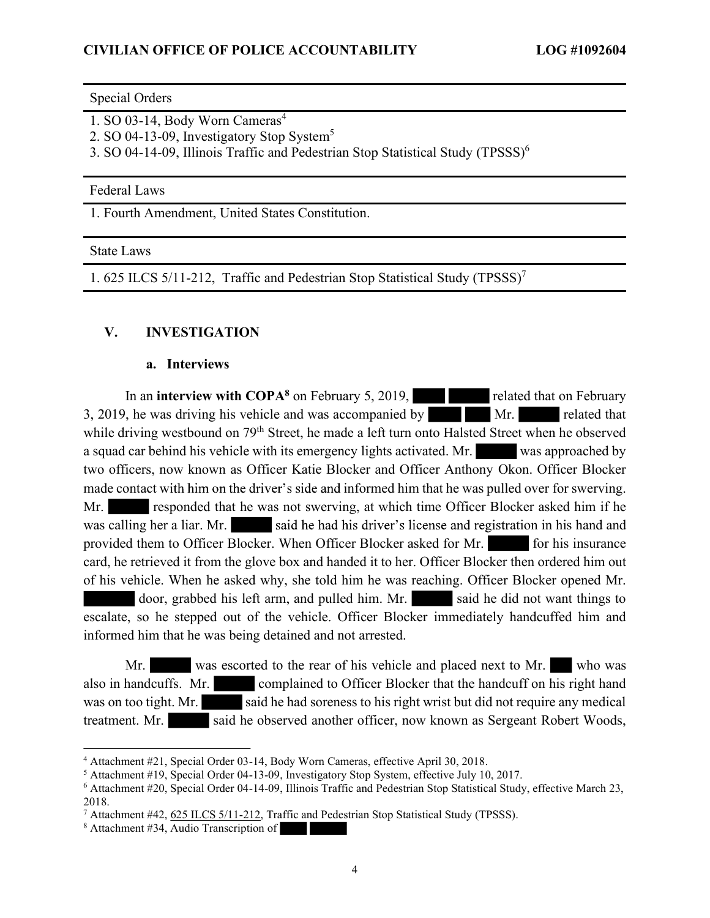#### Special Orders

- 1. SO 03-14, Body Worn Cameras<sup>4</sup>
- 2. SO 04-13-09, Investigatory Stop System<sup>5</sup>

3. SO 04-14-09, Illinois Traffic and Pedestrian Stop Statistical Study (TPSSS)6 1. 625 ILCS 5/11-212, Traffic and Pedestrian Stop Statistical Study (TPSSS)<sup>6</sup><br>
1. 80 03-14, Body Worn Cameras<sup>4</sup><br>
2. 80 04-13-09, Investigatory Stop System<sup>5</sup><br>
3. 60 04-14-09, Illinois Traffic and Pedestrian Stop Statisti

#### Federal Laws

1. Fourth Amendment, United States Constitution.

#### State Laws

#### V. INVESTIGATION

#### a. Interviews

made contact with him on the driver's side and informed him that he was pulled over for swerving. was calling her a liar. Mr. said he had his driver's license and registration in his hand and In an interview with COPA<sup>8</sup> on February 5, 2019, related that on February 3, 2019, he was driving his vehicle and was accompanied by Mr. Mr. related that while driving westbound on 79<sup>th</sup> Street, he made a left turn onto Halsted Street when he observed a squad car behind his vehicle with its emergency lights activated. Mr. was approached by two officers, now known as Officer Katie Blocker and Officer Anthony Okon. Officer Blocker Mr. responded that he was not swerving, at which time Officer Blocker asked him if he provided them to Officer Blocker. When Officer Blocker asked for Mr. for his insurance card, he retrieved it from the glove box and handed it to her. Officer Blocker then ordered him out of his vehicle. When he asked why, she told him he was reaching. Officer Blocker opened Mr. door, grabbed his left arm, and pulled him. Mr. said he did not want things to escalate, so he stepped out of the vehicle. Officer Blocker immediately handcuffed him and informed him that he was being detained and not arrested.

Mr. was escorted to the rear of his vehicle and placed next to Mr. who was also in handcuffs. Mr. complained to Officer Blocker that the handcuff on his right hand was on too tight. Mr. said he had soreness to his right wrist but did not require any medical treatment. Mr. said he observed another officer, now known as Sergeant Robert Woods,

<sup>&</sup>lt;sup>4</sup> Attachment #21, Special Order 03-14, Body Worn Cameras, effective April 30, 2018.

Attachment #19, Special Order 04-13-09, Investigatory Stop System, effective July 10, 2017.

<sup>6</sup> Attachment #20, Special Order 04-14-09, Illinois Traffic and Pedestrian Stop Statistical Study, effective March 23, 2018.<br><sup>7</sup> Attachment #42, <u>625 ILCS 5/11-212</u>, Traffic and Pedestrian Stop Statistical Study (TPSSS).

<sup>8</sup> Attachment #34, Audio Transcription of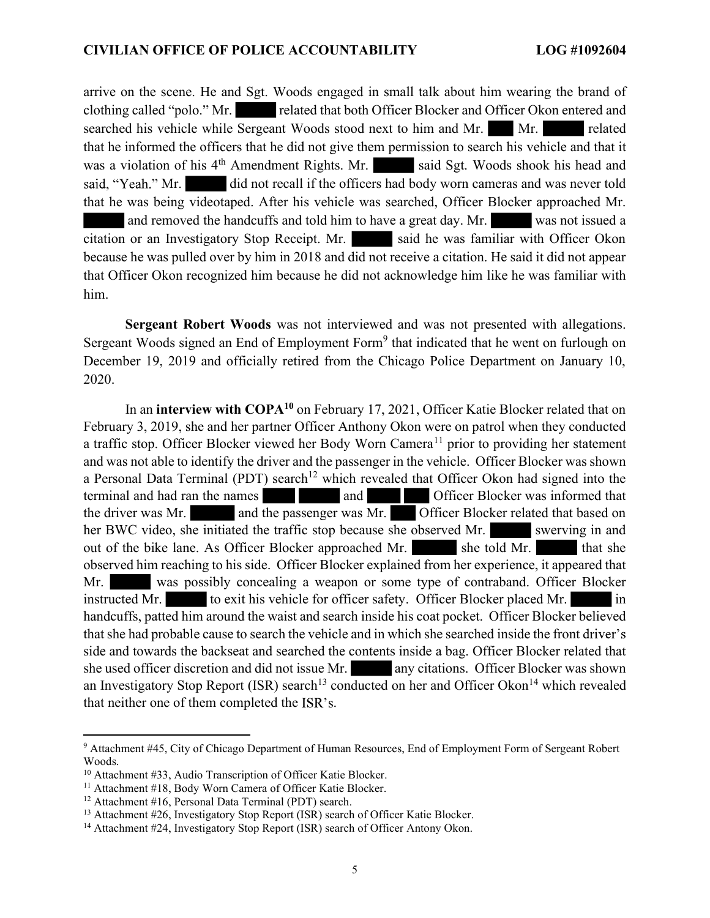clothing called "polo." Mr. said, "Yeah." Mr. did not recall if the officers had body worn cameras and was never told arrive on the scene. He and Sgt. Woods engaged in small talk about him wearing the brand of related that both Officer Blocker and Officer Okon entered and searched his vehicle while Sergeant Woods stood next to him and Mr. Mr. Mr. related that he informed the officers that he did not give them permission to search his vehicle and that it was a violation of his 4<sup>th</sup> Amendment Rights. Mr. said Sgt. Woods shook his head and that he was being videotaped. After his vehicle was searched, Officer Blocker approached Mr. and removed the handcuffs and told him to have a great day. Mr. was not issued a citation or an Investigatory Stop Receipt. Mr. Said he was familiar with Officer Okon because he was pulled over by him in 2018 and did not receive a citation. He said it did not appear that Officer Okon recognized him because he did not acknowledge him like he was familiar with him.

Sergeant Robert Woods was not interviewed and was not presented with allegations. Sergeant Woods signed an End of Employment Form<sup>9</sup> that indicated that he went on furlough on December 19, 2019 and officially retired from the Chicago Police Department on January 10, 2020.

that she had probable cause to search the vehicle and in which she searched inside the front driver's that neither one of them completed the ISR's.<br>
Saturation of the chicago Department of Hum In an **interview with COPA<sup>10</sup>** on February 17, 2021, Officer Katie Blocker related that on February 3, 2019, she and her partner Officer Anthony Okon were on patrol when they conducted a traffic stop. Officer Blocker viewed her Body Worn Camera<sup>11</sup> prior to providing her statement and was not able to identify the driver and the passenger in the vehicle. Officer Blocker was shown a Personal Data Terminal (PDT) search<sup>12</sup> which revealed that Officer Okon had signed into the terminal and had ran the names and and Officer Blocker was informed that the driver was Mr. and the passenger was Mr. Officer Blocker related that based on her BWC video, she initiated the traffic stop because she observed Mr. Swerving in and out of the bike lane. As Officer Blocker approached Mr. She told Mr. that she observed him reaching to his side. Officer Blocker explained from her experience, it appeared that Mr. was possibly concealing a weapon or some type of contraband. Officer Blocker instructed Mr. to exit his vehicle for officer safety. Officer Blocker placed Mr. in handcuffs, patted him around the waist and search inside his coat pocket. Officer Blocker believed side and towards the backseat and searched the contents inside a bag. Officer Blocker related that she used officer discretion and did not issue Mr. any citations. Officer Blocker was shown an Investigatory Stop Report (ISR) search<sup>13</sup> conducted on her and Officer Okon<sup>14</sup> which revealed

Attachment #45, City of Chicago Department of Human Resources, End of Employment Form of Sergeant Robert Woods.<br><sup>10</sup> Attachment #33, Audio Transcription of Officer Katie Blocker.

<sup>&</sup>lt;sup>11</sup> Attachment #18, Body Worn Camera of Officer Katie Blocker. <sup>12</sup> Attachment #16, Personal Data Terminal (PDT) search.

<sup>&</sup>lt;sup>13</sup> Attachment #26, Investigatory Stop Report (ISR) search of Officer Katie Blocker.<br><sup>14</sup> Attachment #24, Investigatory Stop Report (ISR) search of Officer Antony Okon.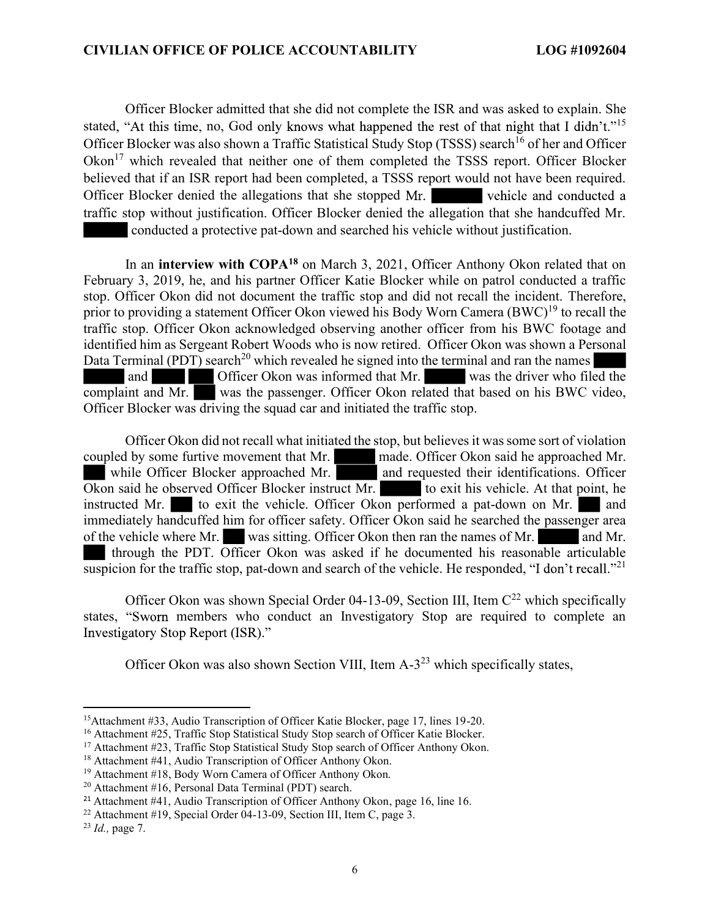stated, "At this time, no, God only knows what happened the rest of that night that I didn't."<sup>15</sup> Officer Blocker denied the allegations that she stopped Mr. vehicle and conducted a Officer Blocker admitted that she did not complete the ISR and was asked to explain. She Officer Blocker was also shown a Traffic Statistical Study Stop (TSSS) search<sup>16</sup> of her and Officer Okon<sup>17</sup> which revealed that neither one of them completed the TSSS report. Officer Blocker believed that if an ISR report had been completed, a TSSS report would not have been required. traffic stop without justification. Officer Blocker denied the allegation that she handcuffed Mr. conducted a protective pat-down and searched his vehicle without justification.

In an interview with COPA<sup>18</sup> on March 3, 2021, Officer Anthony Okon related that on February 3, 2019, he, and his partner Officer Katie Blocker while on patrol conducted a traffic stop. Officer Okon did not document the traffic stop and did not recall the incident. Therefore, prior to providing a statement Officer Okon viewed his Body Worn Camera  $(BWC)^{19}$  to recall the traffic stop. Officer Okon acknowledged observing another officer from his BWC footage and identified him as Sergeant Robert Woods who is now retired. Officer Okon was shown a Personal Data Terminal (PDT) search<sup>20</sup> which revealed he signed into the terminal and ran the names<br>and **EXECUTE:** Officer Okon was informed that Mr. Was the driver who file Officer Okon was informed that Mr. was the driver who filed the complaint and Mr. was the passenger. Officer Okon related that based on his BWC video, Officer Blocker was driving the squad car and initiated the traffic stop.

suspicion for the traffic stop, pat-down and search of the vehicle. He responded, "I don't recall."<sup>21</sup> Officer Okon did not recall what initiated the stop, but believes it was some sort of violation coupled by some furtive movement that Mr. made. Officer Okon said he approached Mr. while Officer Blocker approached Mr. and requested their identifications. Officer Okon said he observed Officer Blocker instruct Mr. to exit his vehicle. At that point, he instructed Mr. to exit the vehicle. Officer Okon performed a pat-down on Mr. and immediately handcuffed him for officer safety. Officer Okon said he searched the passenger area of the vehicle where Mr. was sitting. Officer Okon then ran the names of Mr. and Mr. through the PDT. Officer Okon was asked if he documented his reasonable articulable

states, "Sworn members who conduct an Investigatory Stop are required to complete an Investigatory Stop Report (ISR)." Officer Okon was shown Special Order 04-13-09, Section III, Item  $C^{22}$  which specifically

Officer Okon was also shown Section VIII, Item  $A-3^{23}$  which specifically states,

<sup>15</sup>Attachment #33, Audio Transcription of Officer Katie Blocker, page 17, lines 19-20.

<sup>&</sup>lt;sup>16</sup> Attachment #25, Traffic Stop Statistical Study Stop search of Officer Katie Blocker.

<sup>&</sup>lt;sup>17</sup> Attachment #23, Traffic Stop Statistical Study Stop search of Officer Anthony Okon.

<sup>&</sup>lt;sup>18</sup> Attachment #41, Audio Transcription of Officer Anthony Okon.

<sup>19</sup> Attachment #18, Body Worn Camera of Officer Anthony Okon.

<sup>20</sup> Attachment #16, Personal Data Terminal (PDT) search.

<sup>&</sup>lt;sup>21</sup> Attachment #41, Audio Transcription of Officer Anthony Okon, page 16, line 16.

<sup>&</sup>lt;sup>22</sup> Attachment #19, Special Order 04-13-09, Section III, Item C, page 3.

 $^{23}$  *Id.*, page 7.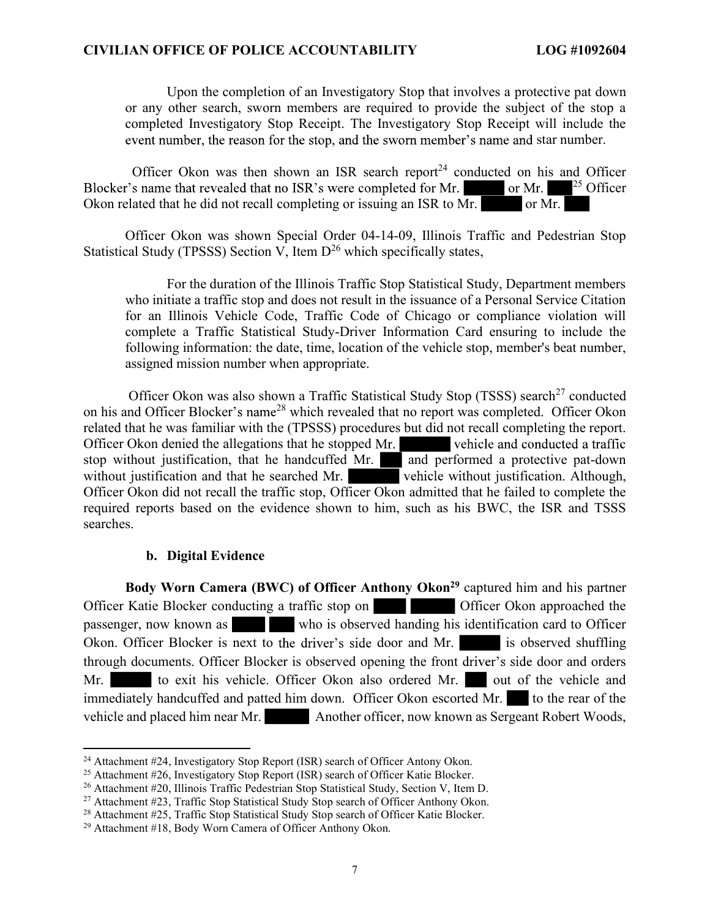event number, the reason for the stop, and the sworn member's name and star number. Upon the completion of an Investigatory Stop that involves a protective pat down or any other search, sworn members are required to provide the subject of the stop a completed Investigatory Stop Receipt. The Investigatory Stop Receipt will include the

Blocker's name that revealed that no ISR's were completed for Mr. or Mr. Officer Okon was then shown an ISR search report<sup>24</sup> conducted on his and Officer  $25$  Officer Okon related that he did not recall completing or issuing an ISR to Mr. or Mr.

Officer Okon was shown Special Order 04-14-09, Illinois Traffic and Pedestrian Stop Statistical Study (TPSSS) Section V, Item  $D^{26}$  which specifically states,

For the duration of the Illinois Traffic Stop Statistical Study, Department members who initiate a traffic stop and does not result in the issuance of a Personal Service Citation for an Illinois Vehicle Code, Traffic Code of Chicago or compliance violation will complete a Traffic Statistical Study-Driver Information Card ensuring to include the following information: the date, time, location of the vehicle stop, member's beat number, assigned mission number when appropriate.

on his and Officer Blocker's name<sup>28</sup> which revealed that no report was completed. Officer Okon Officer Okon denied the allegations that he stopped Mr. vehicle and conducted a traffic without justification and that he searched Mr. vehicle without justification. Although, Officer Okon was also shown a Traffic Statistical Study Stop (TSSS) search<sup>27</sup> conducted related that he was familiar with the (TPSSS) procedures but did not recall completing the report. stop without justification, that he handcuffed Mr. **and performed a protective pat-down** Officer Okon did not recall the traffic stop, Officer Okon admitted that he failed to complete the required reports based on the evidence shown to him, such as his BWC, the ISR and TSSS searches.

#### b. Digital Evidence

Okon. Officer Blocker is next to the driver's side door and Mr. is observed shuffling through documents. Officer Blocker is observed opening the front driver's side door and orders Body Worn Camera (BWC) of Officer Anthony Okon<sup>29</sup> captured him and his partner Officer Katie Blocker conducting a traffic stop on **Officer Okon approached the** passenger, now known as who is observed handing his identification card to Officer Mr. to exit his vehicle. Officer Okon also ordered Mr. out of the vehicle and immediately handcuffed and patted him down. Officer Okon escorted Mr. to the rear of the vehicle and placed him near Mr.<br>Another officer, now known as Sergeant Robert Woods,<br><sup>24</sup> Attachment #24, Investigatory Stop Report (ISR) search of Officer Antony Okon.

<sup>25</sup> Attachment #26, Investigatory Stop Report (ISR) search of Officer Katie Blocker.

<sup>26</sup> Attachment #20, Illinois Traffic Pedestrian Stop Statistical Study, Section V, Item D.

<sup>&</sup>lt;sup>27</sup> Attachment #23, Traffic Stop Statistical Study Stop search of Officer Anthony Okon.

<sup>&</sup>lt;sup>28</sup> Attachment #25, Traffic Stop Statistical Study Stop search of Officer Katie Blocker.

<sup>29</sup> Attachment #18, Body Worn Camera of Officer Anthony Okon.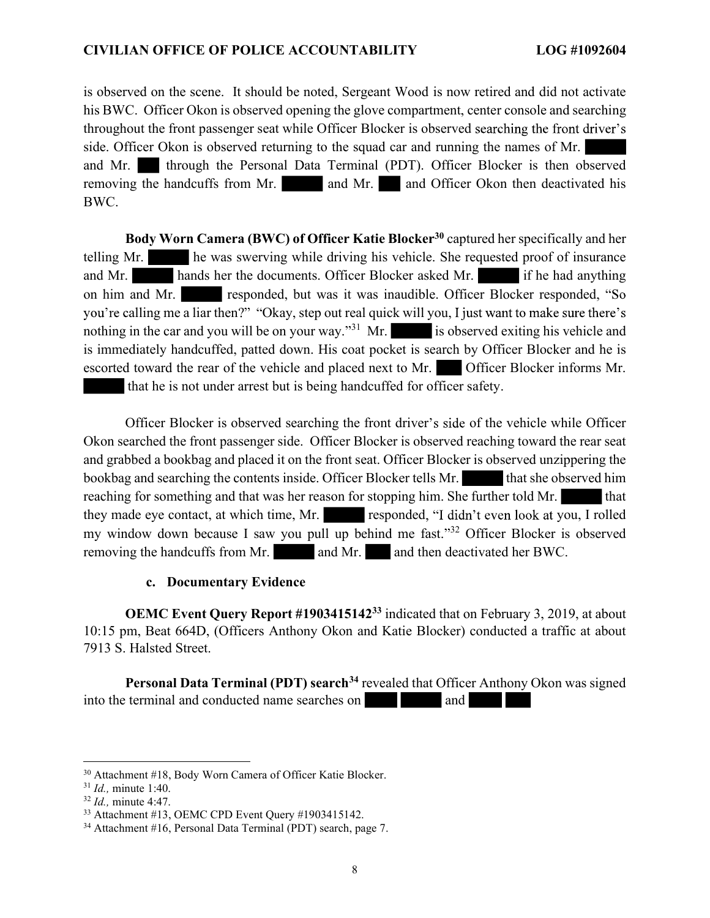throughout the front passenger seat while Officer Blocker is observed searching the front driver's is observed on the scene. It should be noted, Sergeant Wood is now retired and did not activate his BWC. Officer Okon is observed opening the glove compartment, center console and searching side. Officer Okon is observed returning to the squad car and running the names of Mr. and Mr. through the Personal Data Terminal (PDT). Officer Blocker is then observed removing the handcuffs from Mr. and Mr. and Officer Okon then deactivated his BWC.

you're calling me a liar then?" "Okay, step out real quick will you, I just want to make sure there's nothing in the car and you will be on your way."<sup>31</sup> Mr. is observed exiting his vehicle and on him and Mr. responded, but was it was inaudible. Officer Blocker responded, "So Body Worn Camera (BWC) of Officer Katie Blocker<sup>30</sup> captured her specifically and her telling Mr. he was swerving while driving his vehicle. She requested proof of insurance and Mr. hands her the documents. Officer Blocker asked Mr. if he had anything is immediately handcuffed, patted down. His coat pocket is search by Officer Blocker and he is escorted toward the rear of the vehicle and placed next to Mr. Officer Blocker informs Mr. that he is not under arrest but is being handcuffed for officer safety.

Officer Blocker is observed searching the front driver's side of the vehicle while Officer they made eye contact, at which time, Mr. responded, "I didn't even look at you, I rolled Okon searched the front passenger side. Officer Blocker is observed reaching toward the rear seat and grabbed a bookbag and placed it on the front seat. Officer Blocker is observed unzippering the bookbag and searching the contents inside. Officer Blocker tells Mr. that she observed him reaching for something and that was her reason for stopping him. She further told Mr. my window down because I saw you pull up behind me fast."<sup>32</sup> Officer Blocker is observed removing the handcuffs from Mr. and Mr. and then deactivated her BWC.

#### c. Documentary Evidence

OEMC Event Query Report #190341514233 indicated that on February 3, 2019, at about 10:15 pm, Beat 664D, (Officers Anthony Okon and Katie Blocker) conducted a traffic at about 7913 S. Halsted Street.

Personal Data Terminal (PDT) search<sup>34</sup> revealed that Officer Anthony Okon was signed into the terminal and conducted name searches on and

<sup>30</sup> Attachment #18, Body Worn Camera of Officer Katie Blocker.

 $31$  *Id.*, minute 1:40.

 $32$  *Id.*, minute 4:47.

<sup>33</sup> Attachment #13, OEMC CPD Event Query #1903415142.

<sup>34</sup> Attachment #16, Personal Data Terminal (PDT) search, page 7.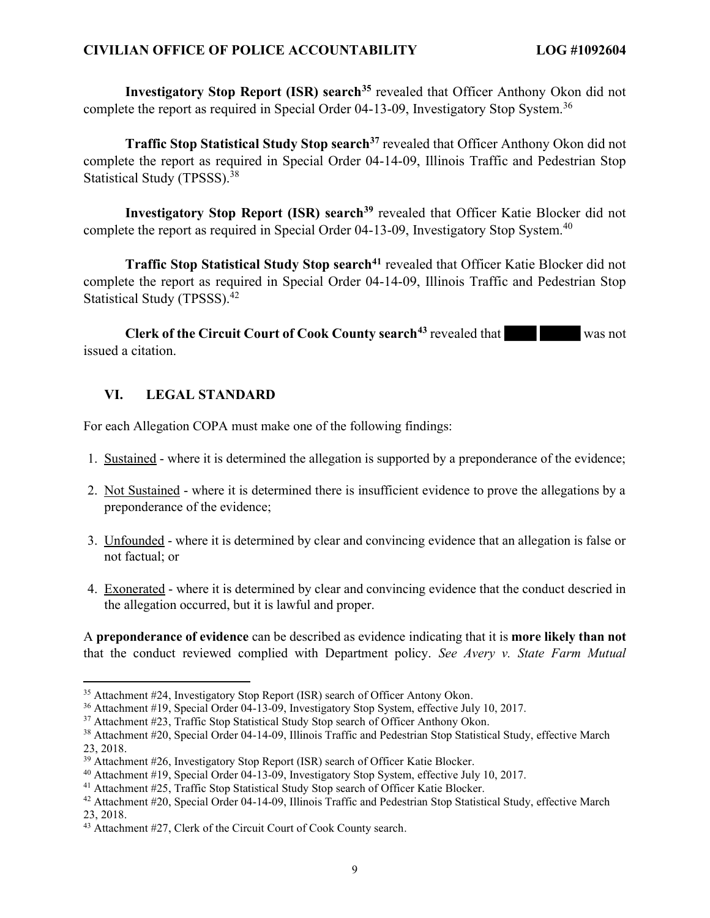Investigatory Stop Report (ISR) search<sup>35</sup> revealed that Officer Anthony Okon did not complete the report as required in Special Order 04-13-09, Investigatory Stop System.<sup>36</sup>

Traffic Stop Statistical Study Stop search<sup>37</sup> revealed that Officer Anthony Okon did not complete the report as required in Special Order 04-14-09, Illinois Traffic and Pedestrian Stop Statistical Study (TPSSS).<sup>38</sup>

Investigatory Stop Report (ISR) search<sup>39</sup> revealed that Officer Katie Blocker did not complete the report as required in Special Order 04-13-09, Investigatory Stop System.<sup>40</sup>

Traffic Stop Statistical Study Stop search<sup>41</sup> revealed that Officer Katie Blocker did not complete the report as required in Special Order 04-14-09, Illinois Traffic and Pedestrian Stop Statistical Study (TPSSS).<sup>42</sup>

Clerk of the Circuit Court of Cook County search<sup>43</sup> revealed that was not issued a citation.

#### VI. LEGAL STANDARD

For each Allegation COPA must make one of the following findings:

- 1. Sustained where it is determined the allegation is supported by a preponderance of the evidence;
- 2. Not Sustained where it is determined there is insufficient evidence to prove the allegations by a preponderance of the evidence;
- 3. Unfounded where it is determined by clear and convincing evidence that an allegation is false or not factual; or
- 4. Exonerated where it is determined by clear and convincing evidence that the conduct descried in the allegation occurred, but it is lawful and proper.

A preponderance of evidence can be described as evidence indicating that it is more likely than not that the conduct reviewed complied with Department policy. See Avery v. State Farm Mutual

<sup>35</sup> Attachment #24, Investigatory Stop Report (ISR) search of Officer Antony Okon.

<sup>36</sup> Attachment #19, Special Order 04-13-09, Investigatory Stop System, effective July 10, 2017.

<sup>37</sup> Attachment #23, Traffic Stop Statistical Study Stop search of Officer Anthony Okon.

<sup>38</sup> Attachment #20, Special Order 04-14-09, Illinois Traffic and Pedestrian Stop Statistical Study, effective March 23, 2018.

<sup>&</sup>lt;sup>39</sup> Attachment #26, Investigatory Stop Report (ISR) search of Officer Katie Blocker.<br><sup>40</sup> Attachment #19, Special Order 04-13-09, Investigatory Stop System, effective July 10, 2017.

<sup>&</sup>lt;sup>41</sup> Attachment #25, Traffic Stop Statistical Study Stop search of Officer Katie Blocker.<br><sup>42</sup> Attachment #20, Special Order 04-14-09, Illinois Traffic and Pedestrian Stop Statistical Study, effective March 23, 2018.

<sup>43</sup> Attachment #27, Clerk of the Circuit Court of Cook County search.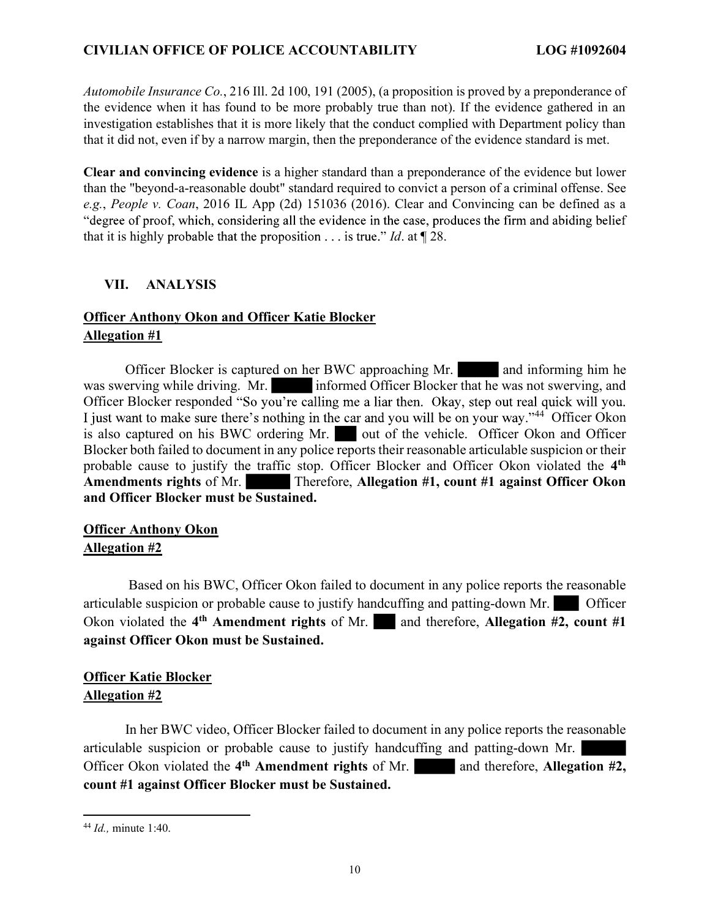Automobile Insurance Co., 216 Ill. 2d 100, 191 (2005), (a proposition is proved by a preponderance of the evidence when it has found to be more probably true than not). If the evidence gathered in an investigation establishes that it is more likely that the conduct complied with Department policy than that it did not, even if by a narrow margin, then the preponderance of the evidence standard is met.

"degree of proof, which, considering all the evidence in the case, produces the firm and abiding belief that it is highly probable that the proposition . . . is true." *Id.* at  $\P$  28. Clear and convincing evidence is a higher standard than a preponderance of the evidence but lower than the "beyond-a-reasonable doubt" standard required to convict a person of a criminal offense. See e.g., People v. Coan, 2016 IL App (2d) 151036 (2016). Clear and Convincing can be defined as a

## VII. ANALYSIS

# Officer Anthony Okon and Officer Katie Blocker Allegation #1

Officer Blocker responded "So you're calling me a liar then. Okay, step out real quick will you. I just want to make sure there's nothing in the car and you will be on your way."<sup>44</sup> Officer Okon Officer Blocker is captured on her BWC approaching Mr. and informing him he was swerving while driving. Mr. informed Officer Blocker that he was not swerving, and is also captured on his BWC ordering Mr. out of the vehicle. Officer Okon and Officer Blocker both failed to document in any police reports their reasonable articulable suspicion or their probable cause to justify the traffic stop. Officer Blocker and Officer Okon violated the 4<sup>th</sup> the contract of the contract of the contract of the contract of the contract of the contract of the contract of the contract of the contract of the contract of the contract of the contract of the contract of the contract o Amendments rights of Mr. Therefore, Allegation #1, count #1 against Officer Okon and Officer Blocker must be Sustained.

## Officer Anthony Okon Allegation #2

 Based on his BWC, Officer Okon failed to document in any police reports the reasonable articulable suspicion or probable cause to justify handcuffing and patting-down Mr. Officer Okon violated the  $4<sup>th</sup>$  Amendment rights of Mr. and therefore, Allegation #2, count #1 against Officer Okon must be Sustained.

## Officer Katie Blocker Allegation #2

In her BWC video, Officer Blocker failed to document in any police reports the reasonable articulable suspicion or probable cause to justify handcuffing and patting-down Mr. Officer Okon violated the 4<sup>th</sup> Amendment rights of Mr. and therefore, Allegation #2, count #1 against Officer Blocker must be Sustained.

 $44$  *Id.*, minute 1:40.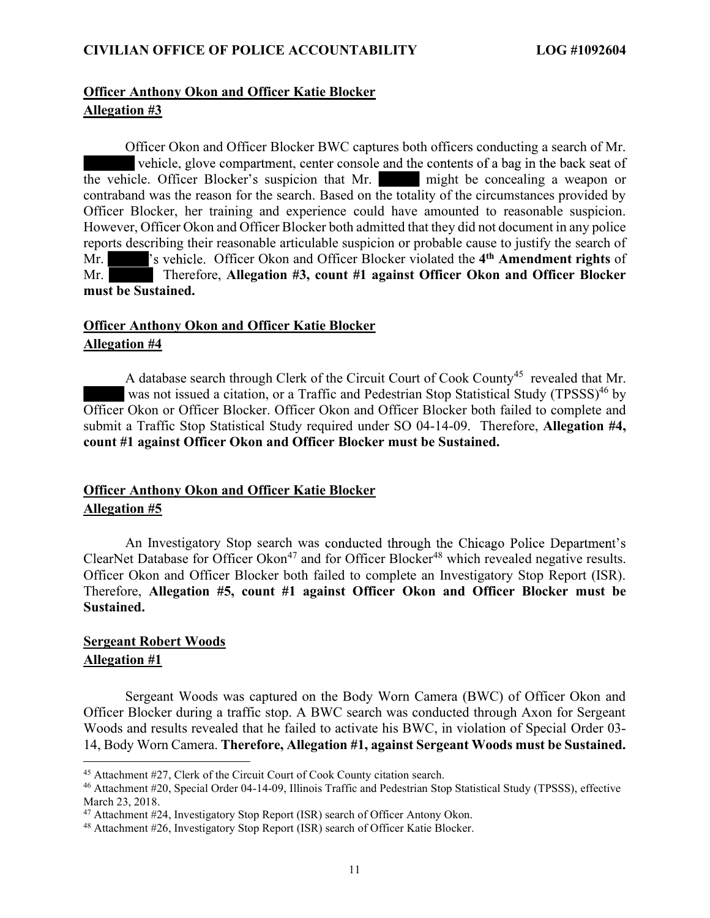## Officer Anthony Okon and Officer Katie Blocker Allegation #3

vehicle, glove compartment, center console and the contents of a bag in the back seat of the vehicle. Officer Blocker's suspicion that Mr. might be concealing a weapon or Mr. Solic is vehicle. Officer Okon and Officer Blocker violated the 4<sup>th</sup> Amendment rights of Officer Okon and Officer Blocker BWC captures both officers conducting a search of Mr. contraband was the reason for the search. Based on the totality of the circumstances provided by Officer Blocker, her training and experience could have amounted to reasonable suspicion. However, Officer Okon and Officer Blocker both admitted that they did not document in any police reports describing their reasonable articulable suspicion or probable cause to justify the search of Mr. Therefore, Allegation #3, count #1 against Officer Okon and Officer Blocker must be Sustained.

## Officer Anthony Okon and Officer Katie Blocker Allegation #4

A database search through Clerk of the Circuit Court of Cook County45 revealed that Mr. was not issued a citation, or a Traffic and Pedestrian Stop Statistical Study (TPSSS)<sup>46</sup> by Officer Okon or Officer Blocker. Officer Okon and Officer Blocker both failed to complete and submit a Traffic Stop Statistical Study required under SO 04-14-09. Therefore, Allegation #4, count #1 against Officer Okon and Officer Blocker must be Sustained.

## Officer Anthony Okon and Officer Katie Blocker Allegation #5

An Investigatory Stop search was conducted through the Chicago Police Department's ClearNet Database for Officer Okon<sup>47</sup> and for Officer Blocker<sup>48</sup> which revealed negative results. Officer Okon and Officer Blocker both failed to complete an Investigatory Stop Report (ISR). Therefore, Allegation #5, count #1 against Officer Okon and Officer Blocker must be Sustained.

## Sergeant Robert Woods Allegation #1

Sergeant Woods was captured on the Body Worn Camera (BWC) of Officer Okon and Officer Blocker during a traffic stop. A BWC search was conducted through Axon for Sergeant Woods and results revealed that he failed to activate his BWC, in violation of Special Order 03- 14, Body Worn Camera. Therefore, Allegation #1, against Sergeant Woods must be Sustained.

<sup>45</sup> Attachment #27, Clerk of the Circuit Court of Cook County citation search.

<sup>46</sup> Attachment #20, Special Order 04-14-09, Illinois Traffic and Pedestrian Stop Statistical Study (TPSSS), effective March 23, 2018.

<sup>&</sup>lt;sup>47</sup> Attachment #24, Investigatory Stop Report (ISR) search of Officer Antony Okon.

<sup>48</sup> Attachment #26, Investigatory Stop Report (ISR) search of Officer Katie Blocker.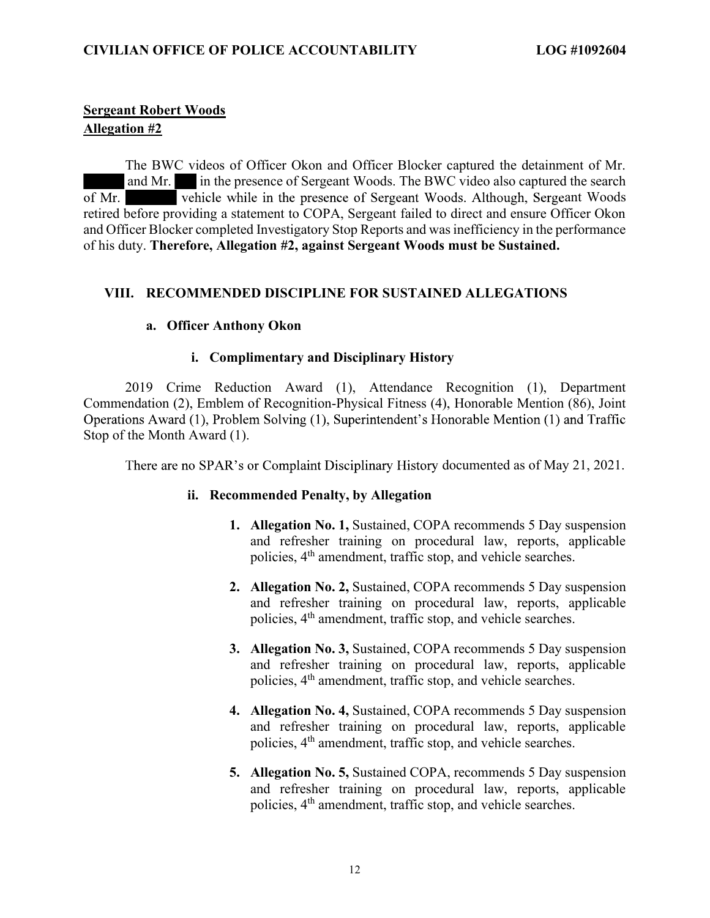#### Sergeant Robert Woods Allegation #2

of Mr. vehicle while in the presence of Sergeant Woods. Although, Sergeant Woods The BWC videos of Officer Okon and Officer Blocker captured the detainment of Mr. and Mr. in the presence of Sergeant Woods. The BWC video also captured the search retired before providing a statement to COPA, Sergeant failed to direct and ensure Officer Okon and Officer Blocker completed Investigatory Stop Reports and was inefficiency in the performance of his duty. Therefore, Allegation #2, against Sergeant Woods must be Sustained.

## VIII. RECOMMENDED DISCIPLINE FOR SUSTAINED ALLEGATIONS

## a. Officer Anthony Okon

## i. Complimentary and Disciplinary History

Operations Award (1), Problem Solving (1), Superintendent's Honorable Mention (1) and Traffic 2019 Crime Reduction Award (1), Attendance Recognition (1), Department Commendation (2), Emblem of Recognition-Physical Fitness (4), Honorable Mention (86), Joint Stop of the Month Award (1).

There are no SPAR's or Complaint Disciplinary History documented as of May 21, 2021.

## ii. Recommended Penalty, by Allegation

- 1. Allegation No. 1, Sustained, COPA recommends 5 Day suspension and refresher training on procedural law, reports, applicable policies, 4<sup>th</sup> amendment, traffic stop, and vehicle searches.
- 2. Allegation No. 2, Sustained, COPA recommends 5 Day suspension and refresher training on procedural law, reports, applicable policies, 4<sup>th</sup> amendment, traffic stop, and vehicle searches.
- 3. Allegation No. 3, Sustained, COPA recommends 5 Day suspension and refresher training on procedural law, reports, applicable policies, 4<sup>th</sup> amendment, traffic stop, and vehicle searches.
- 4. Allegation No. 4, Sustained, COPA recommends 5 Day suspension and refresher training on procedural law, reports, applicable policies, 4th amendment, traffic stop, and vehicle searches.
- 5. Allegation No. 5, Sustained COPA, recommends 5 Day suspension and refresher training on procedural law, reports, applicable policies, 4<sup>th</sup> amendment, traffic stop, and vehicle searches.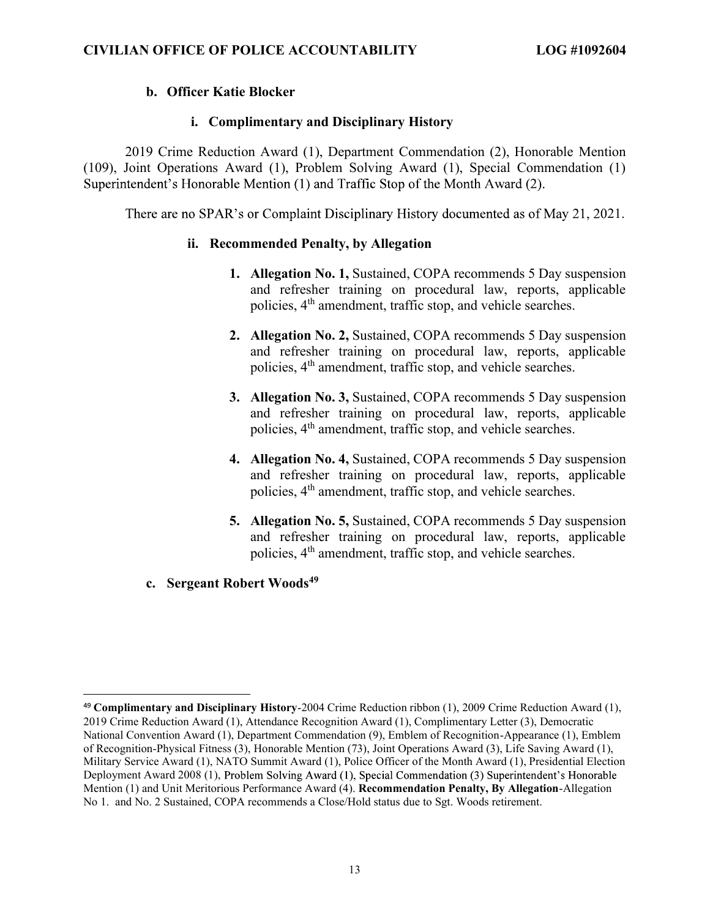#### b. Officer Katie Blocker

#### i. Complimentary and Disciplinary History

Superintendent's Honorable Mention (1) and Traffic Stop of the Month Award (2). 2019 Crime Reduction Award (1), Department Commendation (2), Honorable Mention (109), Joint Operations Award (1), Problem Solving Award (1), Special Commendation (1)

There are no SPAR's or Complaint Disciplinary History documented as of May 21, 2021.

#### ii. Recommended Penalty, by Allegation

- 1. Allegation No. 1, Sustained, COPA recommends 5 Day suspension and refresher training on procedural law, reports, applicable policies, 4<sup>th</sup> amendment, traffic stop, and vehicle searches.
- 2. Allegation No. 2, Sustained, COPA recommends 5 Day suspension and refresher training on procedural law, reports, applicable policies, 4<sup>th</sup> amendment, traffic stop, and vehicle searches.
- 3. Allegation No. 3, Sustained, COPA recommends 5 Day suspension and refresher training on procedural law, reports, applicable policies, 4<sup>th</sup> amendment, traffic stop, and vehicle searches.
- 4. Allegation No. 4, Sustained, COPA recommends 5 Day suspension and refresher training on procedural law, reports, applicable policies, 4<sup>th</sup> amendment, traffic stop, and vehicle searches.
- 5. Allegation No. 5, Sustained, COPA recommends 5 Day suspension and refresher training on procedural law, reports, applicable policies, 4th amendment, traffic stop, and vehicle searches.
- c. Sergeant Robert Woods<sup>49</sup>

<sup>49</sup>  Complimentary and Disciplinary History-2004 Crime Reduction ribbon (1), 2009 Crime Reduction Award (1), Deployment Award 2008 (1), Problem Solving Award (1), Special Commendation (3) Superintendent's Honorable 2019 Crime Reduction Award (1), Attendance Recognition Award (1), Complimentary Letter (3), Democratic National Convention Award (1), Department Commendation (9), Emblem of Recognition-Appearance (1), Emblem of Recognition-Physical Fitness (3), Honorable Mention (73), Joint Operations Award (3), Life Saving Award (1), Military Service Award (1), NATO Summit Award (1), Police Officer of the Month Award (1), Presidential Election Mention (1) and Unit Meritorious Performance Award (4). Recommendation Penalty, By Allegation-Allegation No 1. and No. 2 Sustained, COPA recommends a Close/Hold status due to Sgt. Woods retirement.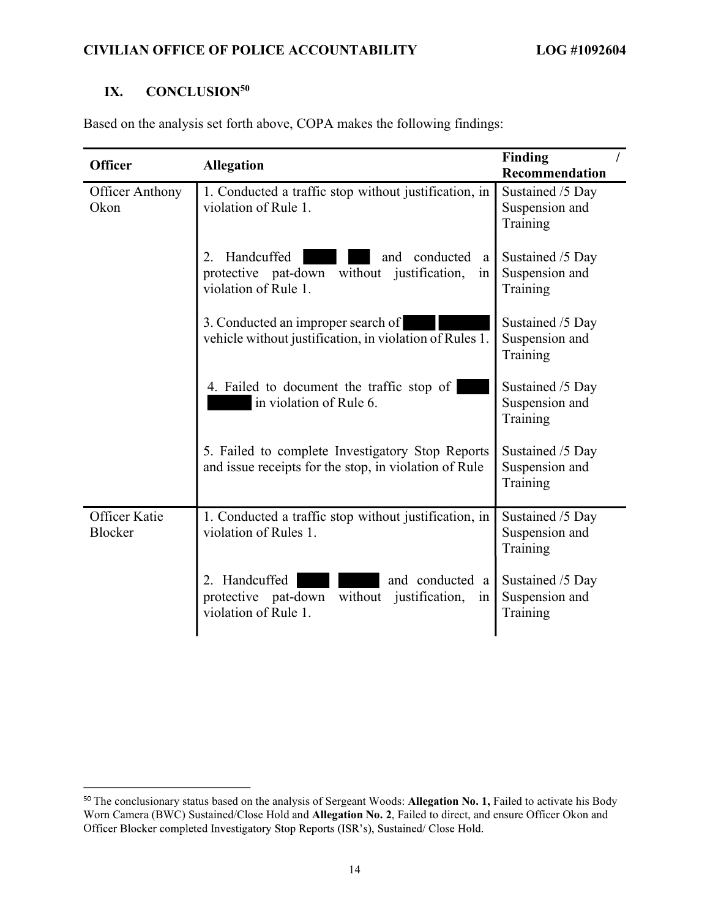# IX. CONCLUSION<sup>50</sup>

|  | Based on the analysis set forth above, COPA makes the following findings: |  |  |  |  |
|--|---------------------------------------------------------------------------|--|--|--|--|
|  |                                                                           |  |  |  |  |

| <b>Officer</b>                  | <b>Allegation</b>                                                                                                                | Finding<br>Recommendation                      |
|---------------------------------|----------------------------------------------------------------------------------------------------------------------------------|------------------------------------------------|
| <b>Officer Anthony</b><br>Okon  | 1. Conducted a traffic stop without justification, in<br>violation of Rule 1.                                                    | Sustained /5 Day<br>Suspension and<br>Training |
|                                 | Handcuffed<br>conducted<br>and<br>2.<br><sub>a</sub><br>protective pat-down without justification,<br>in<br>violation of Rule 1. | Sustained /5 Day<br>Suspension and<br>Training |
|                                 | 3. Conducted an improper search of<br>vehicle without justification, in violation of Rules 1.                                    | Sustained /5 Day<br>Suspension and<br>Training |
|                                 | 4. Failed to document the traffic stop of<br>in violation of Rule 6.                                                             | Sustained /5 Day<br>Suspension and<br>Training |
|                                 | 5. Failed to complete Investigatory Stop Reports<br>and issue receipts for the stop, in violation of Rule                        | Sustained /5 Day<br>Suspension and<br>Training |
| Officer Katie<br><b>Blocker</b> | 1. Conducted a traffic stop without justification, in<br>violation of Rules 1.                                                   | Sustained /5 Day<br>Suspension and<br>Training |
|                                 | 2. Handcuffed<br>and conducted a<br>protective pat-down without justification,<br>in<br>violation of Rule 1.                     | Sustained /5 Day<br>Suspension and<br>Training |

<sup>&</sup>lt;sup>50</sup> The conclusionary status based on the analysis of Sergeant Woods: Allegation No. 1, Failed to activate his Body Officer Blocker completed Investigatory Stop Reports (ISR's), Sustained/ Close Hold. Worn Camera (BWC) Sustained/Close Hold and Allegation No. 2, Failed to direct, and ensure Officer Okon and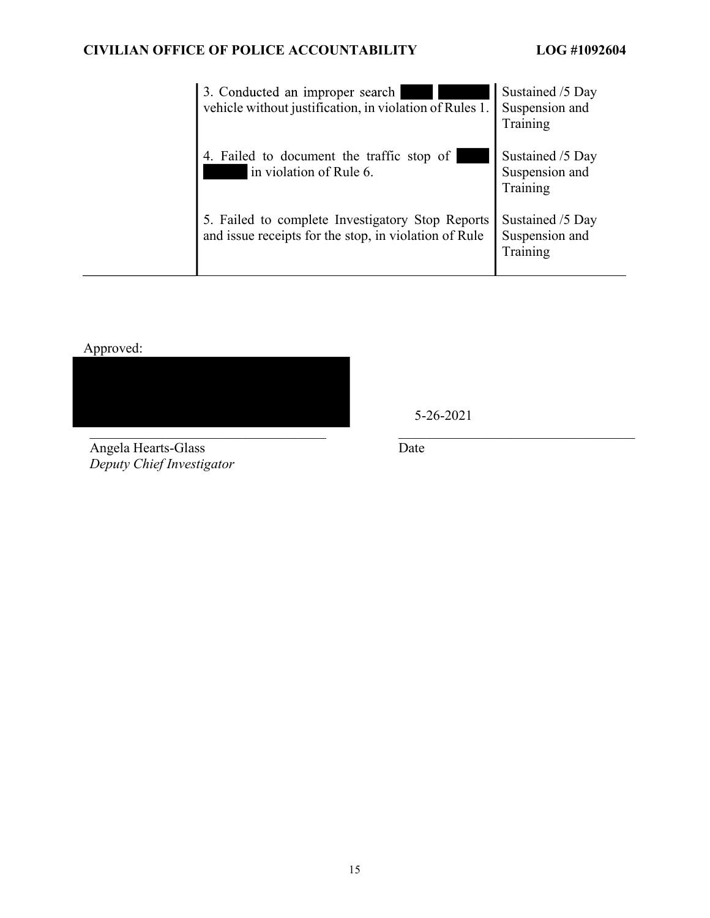| 3. Conducted an improper search<br>vehicle without justification, in violation of Rules 1.                | Sustained /5 Day<br>Suspension and<br>Training |
|-----------------------------------------------------------------------------------------------------------|------------------------------------------------|
| 4. Failed to document the traffic stop of<br>in violation of Rule 6.                                      | Sustained /5 Day<br>Suspension and<br>Training |
| 5. Failed to complete Investigatory Stop Reports<br>and issue receipts for the stop, in violation of Rule | Sustained /5 Day<br>Suspension and<br>Training |

Approved:



Angela Hearts-Glass Deputy Chief Investigator

Date